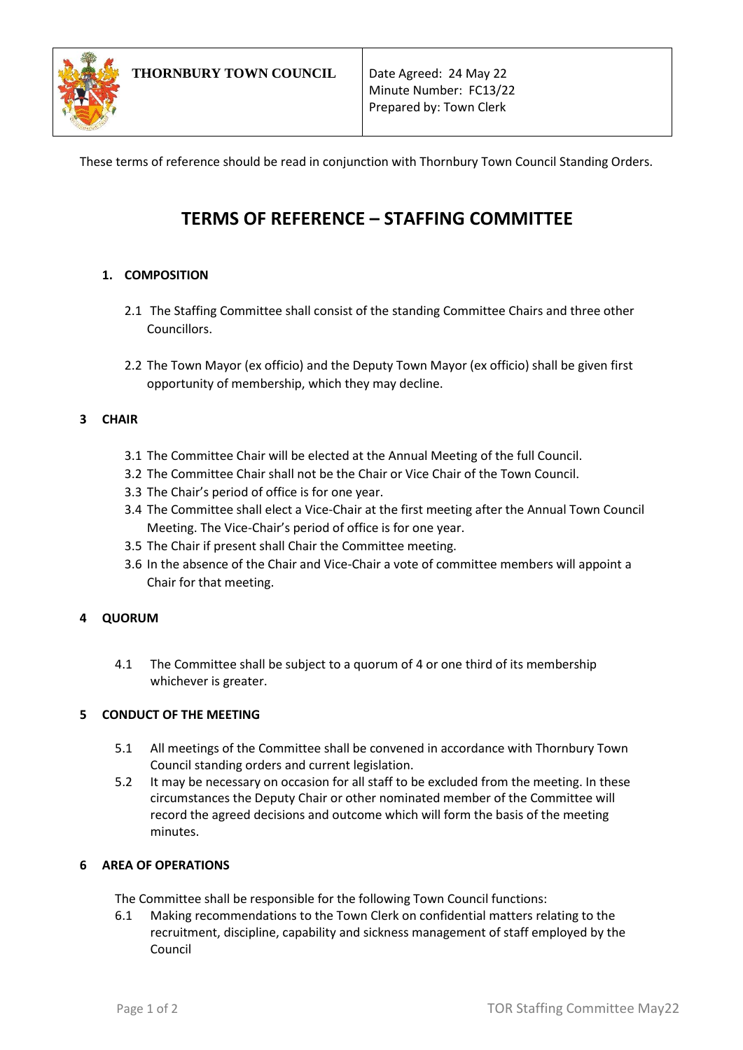

These terms of reference should be read in conjunction with Thornbury Town Council Standing Orders.

# **TERMS OF REFERENCE – STAFFING COMMITTEE**

# **1. COMPOSITION**

- 2.1 The Staffing Committee shall consist of the standing Committee Chairs and three other Councillors.
- 2.2 The Town Mayor (ex officio) and the Deputy Town Mayor (ex officio) shall be given first opportunity of membership, which they may decline.

## **3 CHAIR**

- 3.1 The Committee Chair will be elected at the Annual Meeting of the full Council.
- 3.2 The Committee Chair shall not be the Chair or Vice Chair of the Town Council.
- 3.3 The Chair's period of office is for one year.
- 3.4 The Committee shall elect a Vice-Chair at the first meeting after the Annual Town Council Meeting. The Vice-Chair's period of office is for one year.
- 3.5 The Chair if present shall Chair the Committee meeting.
- 3.6 In the absence of the Chair and Vice-Chair a vote of committee members will appoint a Chair for that meeting.

# **4 QUORUM**

4.1 The Committee shall be subject to a quorum of 4 or one third of its membership whichever is greater.

# **5 CONDUCT OF THE MEETING**

- 5.1 All meetings of the Committee shall be convened in accordance with Thornbury Town Council standing orders and current legislation.
- 5.2 It may be necessary on occasion for all staff to be excluded from the meeting. In these circumstances the Deputy Chair or other nominated member of the Committee will record the agreed decisions and outcome which will form the basis of the meeting minutes.

### **6 AREA OF OPERATIONS**

- The Committee shall be responsible for the following Town Council functions:
- 6.1 Making recommendations to the Town Clerk on confidential matters relating to the recruitment, discipline, capability and sickness management of staff employed by the Council